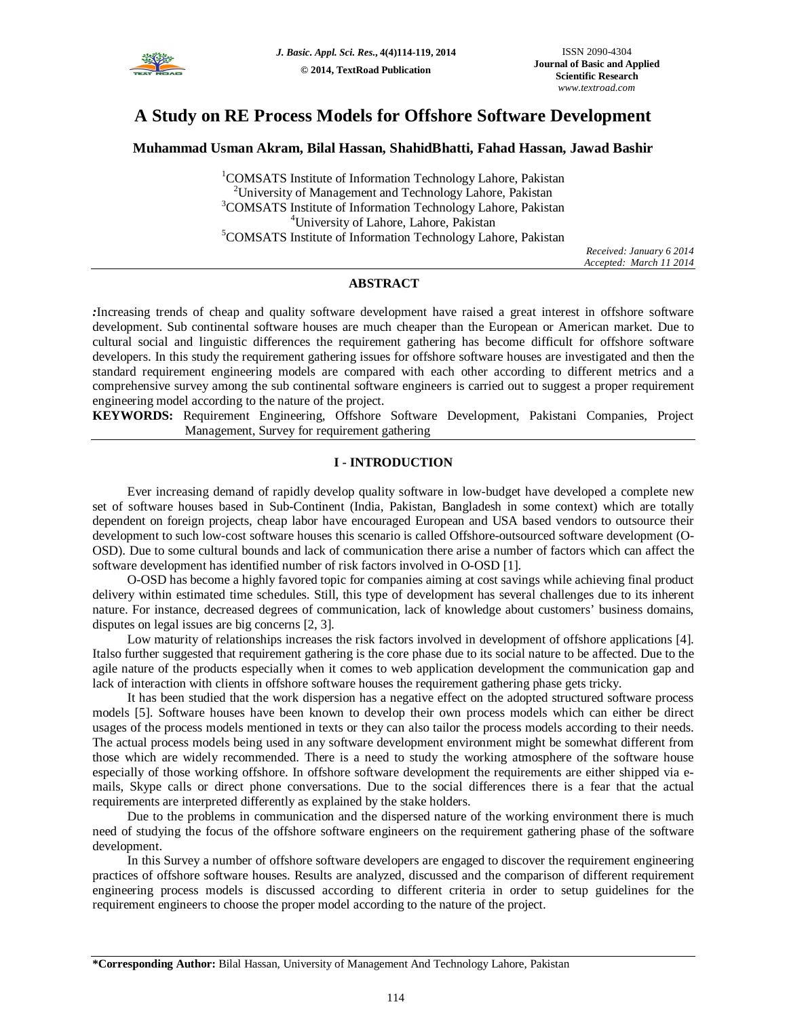

# **A Study on RE Process Models for Offshore Software Development**

# **Muhammad Usman Akram, Bilal Hassan, ShahidBhatti, Fahad Hassan, Jawad Bashir**

<sup>1</sup>COMSATS Institute of Information Technology Lahore, Pakistan <sup>2</sup>University of Management and Technology Lahore, Pakistan <sup>3</sup>COMSATS Institute of Information Technology Lahore, Pakistan <sup>4</sup>University of Lahore, Lahore, Pakistan <sup>5</sup>COMSATS Institute of Information Technology Lahore, Pakistan

*Received: January 6 2014 Accepted: March 11 2014*

# **ABSTRACT**

*:*Increasing trends of cheap and quality software development have raised a great interest in offshore software development. Sub continental software houses are much cheaper than the European or American market. Due to cultural social and linguistic differences the requirement gathering has become difficult for offshore software developers. In this study the requirement gathering issues for offshore software houses are investigated and then the standard requirement engineering models are compared with each other according to different metrics and a comprehensive survey among the sub continental software engineers is carried out to suggest a proper requirement engineering model according to the nature of the project.

**KEYWORDS:** Requirement Engineering, Offshore Software Development, Pakistani Companies, Project Management, Survey for requirement gathering

# **I - INTRODUCTION**

Ever increasing demand of rapidly develop quality software in low-budget have developed a complete new set of software houses based in Sub-Continent (India, Pakistan, Bangladesh in some context) which are totally dependent on foreign projects, cheap labor have encouraged European and USA based vendors to outsource their development to such low-cost software houses this scenario is called Offshore-outsourced software development (O-OSD). Due to some cultural bounds and lack of communication there arise a number of factors which can affect the software development has identified number of risk factors involved in O-OSD [1].

O-OSD has become a highly favored topic for companies aiming at cost savings while achieving final product delivery within estimated time schedules. Still, this type of development has several challenges due to its inherent nature. For instance, decreased degrees of communication, lack of knowledge about customers' business domains, disputes on legal issues are big concerns [2, 3].

Low maturity of relationships increases the risk factors involved in development of offshore applications [4]. Italso further suggested that requirement gathering is the core phase due to its social nature to be affected. Due to the agile nature of the products especially when it comes to web application development the communication gap and lack of interaction with clients in offshore software houses the requirement gathering phase gets tricky.

It has been studied that the work dispersion has a negative effect on the adopted structured software process models [5]. Software houses have been known to develop their own process models which can either be direct usages of the process models mentioned in texts or they can also tailor the process models according to their needs. The actual process models being used in any software development environment might be somewhat different from those which are widely recommended. There is a need to study the working atmosphere of the software house especially of those working offshore. In offshore software development the requirements are either shipped via emails, Skype calls or direct phone conversations. Due to the social differences there is a fear that the actual requirements are interpreted differently as explained by the stake holders.

Due to the problems in communication and the dispersed nature of the working environment there is much need of studying the focus of the offshore software engineers on the requirement gathering phase of the software development.

In this Survey a number of offshore software developers are engaged to discover the requirement engineering practices of offshore software houses. Results are analyzed, discussed and the comparison of different requirement engineering process models is discussed according to different criteria in order to setup guidelines for the requirement engineers to choose the proper model according to the nature of the project.

**<sup>\*</sup>Corresponding Author:** Bilal Hassan, University of Management And Technology Lahore, Pakistan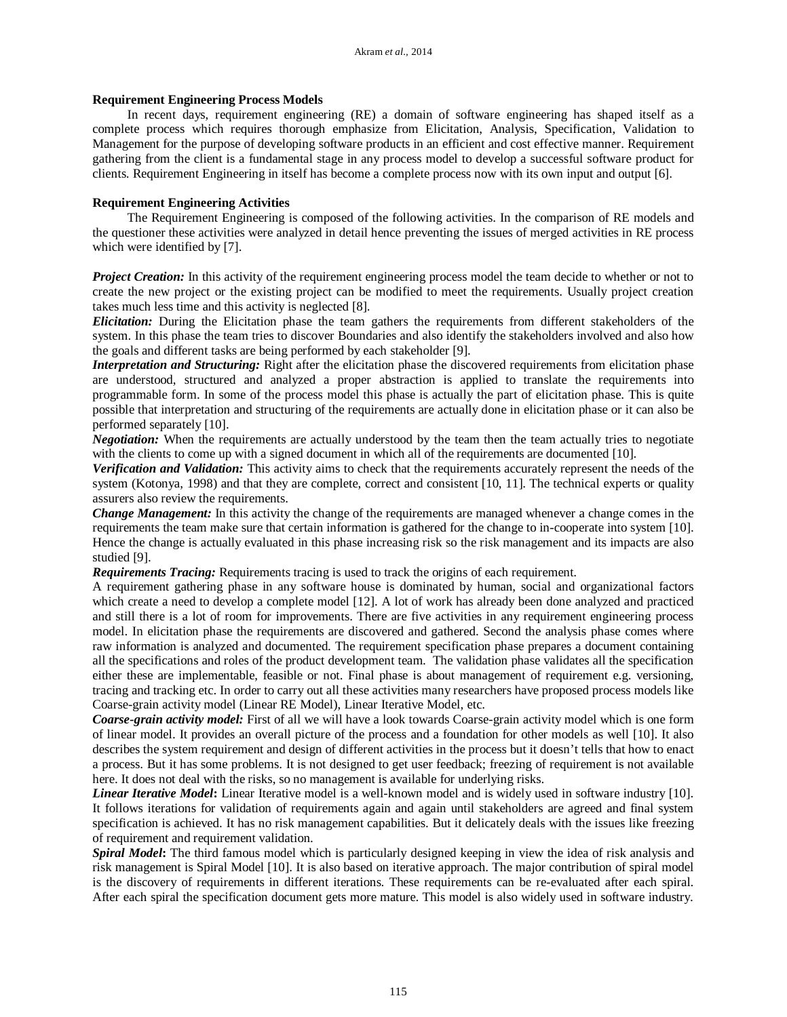## **Requirement Engineering Process Models**

In recent days, requirement engineering (RE) a domain of software engineering has shaped itself as a complete process which requires thorough emphasize from Elicitation, Analysis, Specification, Validation to Management for the purpose of developing software products in an efficient and cost effective manner. Requirement gathering from the client is a fundamental stage in any process model to develop a successful software product for clients. Requirement Engineering in itself has become a complete process now with its own input and output [6].

## **Requirement Engineering Activities**

The Requirement Engineering is composed of the following activities. In the comparison of RE models and the questioner these activities were analyzed in detail hence preventing the issues of merged activities in RE process which were identified by [7].

*Project Creation:* In this activity of the requirement engineering process model the team decide to whether or not to create the new project or the existing project can be modified to meet the requirements. Usually project creation takes much less time and this activity is neglected [8].

*Elicitation:* During the Elicitation phase the team gathers the requirements from different stakeholders of the system. In this phase the team tries to discover Boundaries and also identify the stakeholders involved and also how the goals and different tasks are being performed by each stakeholder [9].

*Interpretation and Structuring:* Right after the elicitation phase the discovered requirements from elicitation phase are understood, structured and analyzed a proper abstraction is applied to translate the requirements into programmable form. In some of the process model this phase is actually the part of elicitation phase. This is quite possible that interpretation and structuring of the requirements are actually done in elicitation phase or it can also be performed separately [10].

*Negotiation:* When the requirements are actually understood by the team then the team actually tries to negotiate with the clients to come up with a signed document in which all of the requirements are documented [10].

*Verification and Validation:* This activity aims to check that the requirements accurately represent the needs of the system (Kotonya, 1998) and that they are complete, correct and consistent [10, 11]. The technical experts or quality assurers also review the requirements.

*Change Management:* In this activity the change of the requirements are managed whenever a change comes in the requirements the team make sure that certain information is gathered for the change to in-cooperate into system [10]. Hence the change is actually evaluated in this phase increasing risk so the risk management and its impacts are also studied [9].

*Requirements Tracing:* Requirements tracing is used to track the origins of each requirement.

A requirement gathering phase in any software house is dominated by human, social and organizational factors which create a need to develop a complete model [12]. A lot of work has already been done analyzed and practiced and still there is a lot of room for improvements. There are five activities in any requirement engineering process model. In elicitation phase the requirements are discovered and gathered. Second the analysis phase comes where raw information is analyzed and documented. The requirement specification phase prepares a document containing all the specifications and roles of the product development team. The validation phase validates all the specification either these are implementable, feasible or not. Final phase is about management of requirement e.g. versioning, tracing and tracking etc. In order to carry out all these activities many researchers have proposed process models like Coarse-grain activity model (Linear RE Model), Linear Iterative Model, etc.

*Coarse-grain activity model:* First of all we will have a look towards Coarse-grain activity model which is one form of linear model. It provides an overall picture of the process and a foundation for other models as well [10]. It also describes the system requirement and design of different activities in the process but it doesn't tells that how to enact a process. But it has some problems. It is not designed to get user feedback; freezing of requirement is not available here. It does not deal with the risks, so no management is available for underlying risks.

*Linear Iterative Model***:** Linear Iterative model is a well-known model and is widely used in software industry [10]. It follows iterations for validation of requirements again and again until stakeholders are agreed and final system specification is achieved. It has no risk management capabilities. But it delicately deals with the issues like freezing of requirement and requirement validation.

*Spiral Model***:** The third famous model which is particularly designed keeping in view the idea of risk analysis and risk management is Spiral Model [10]. It is also based on iterative approach. The major contribution of spiral model is the discovery of requirements in different iterations. These requirements can be re-evaluated after each spiral. After each spiral the specification document gets more mature. This model is also widely used in software industry.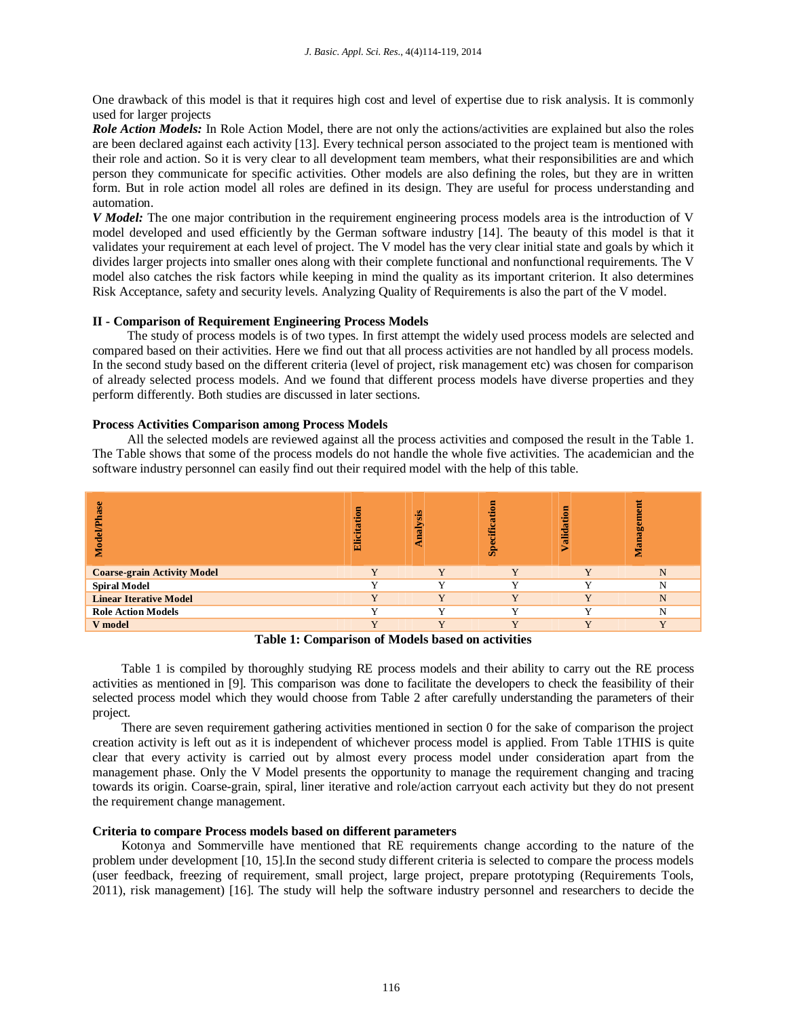One drawback of this model is that it requires high cost and level of expertise due to risk analysis. It is commonly used for larger projects

*Role Action Models:* In Role Action Model, there are not only the actions/activities are explained but also the roles are been declared against each activity [13]. Every technical person associated to the project team is mentioned with their role and action. So it is very clear to all development team members, what their responsibilities are and which person they communicate for specific activities. Other models are also defining the roles, but they are in written form. But in role action model all roles are defined in its design. They are useful for process understanding and automation.

*V Model:* The one major contribution in the requirement engineering process models area is the introduction of V model developed and used efficiently by the German software industry [14]. The beauty of this model is that it validates your requirement at each level of project. The V model has the very clear initial state and goals by which it divides larger projects into smaller ones along with their complete functional and nonfunctional requirements. The V model also catches the risk factors while keeping in mind the quality as its important criterion. It also determines Risk Acceptance, safety and security levels. Analyzing Quality of Requirements is also the part of the V model.

## **II - Comparison of Requirement Engineering Process Models**

The study of process models is of two types. In first attempt the widely used process models are selected and compared based on their activities. Here we find out that all process activities are not handled by all process models. In the second study based on the different criteria (level of project, risk management etc) was chosen for comparison of already selected process models. And we found that different process models have diverse properties and they perform differently. Both studies are discussed in later sections.

## **Process Activities Comparison among Process Models**

All the selected models are reviewed against all the process activities and composed the result in the Table 1. The Table shows that some of the process models do not handle the whole five activities. The academician and the software industry personnel can easily find out their required model with the help of this table.

| జ                                  | Elicitation             | nalysis                 | 틍<br>ŧ<br>ific<br>န္တ   | я<br>Validatio | е<br>Φ<br><b>SP</b><br><b>G</b> |
|------------------------------------|-------------------------|-------------------------|-------------------------|----------------|---------------------------------|
| <b>Coarse-grain Activity Model</b> | $\overline{\mathbf{v}}$ | V                       | V                       | $\overline{Y}$ | N                               |
| <b>Spiral Model</b>                |                         |                         | v                       |                | N                               |
| <b>Linear Iterative Model</b>      | v                       | $\overline{\mathbf{v}}$ | $\overline{\mathbf{v}}$ | $\mathbf{v}$   | N                               |
| <b>Role Action Models</b>          |                         | $\overline{ }$          | v                       | $\overline{ }$ | N                               |
| V model                            |                         | <b>TT</b>               | $\mathbf{v}$            | <b>KT</b>      | $\overline{\mathbf{v}}$         |
|                                    | _____<br>$\sim$ $\sim$  | ----------              | .                       |                |                                 |

**Table 1: Comparison of Models based on activities**

Table 1 is compiled by thoroughly studying RE process models and their ability to carry out the RE process activities as mentioned in [9]. This comparison was done to facilitate the developers to check the feasibility of their selected process model which they would choose from Table 2 after carefully understanding the parameters of their project.

There are seven requirement gathering activities mentioned in section 0 for the sake of comparison the project creation activity is left out as it is independent of whichever process model is applied. From Table 1THIS is quite clear that every activity is carried out by almost every process model under consideration apart from the management phase. Only the V Model presents the opportunity to manage the requirement changing and tracing towards its origin. Coarse-grain, spiral, liner iterative and role/action carryout each activity but they do not present the requirement change management.

## **Criteria to compare Process models based on different parameters**

Kotonya and Sommerville have mentioned that RE requirements change according to the nature of the problem under development [10, 15].In the second study different criteria is selected to compare the process models (user feedback, freezing of requirement, small project, large project, prepare prototyping (Requirements Tools, 2011), risk management) [16]. The study will help the software industry personnel and researchers to decide the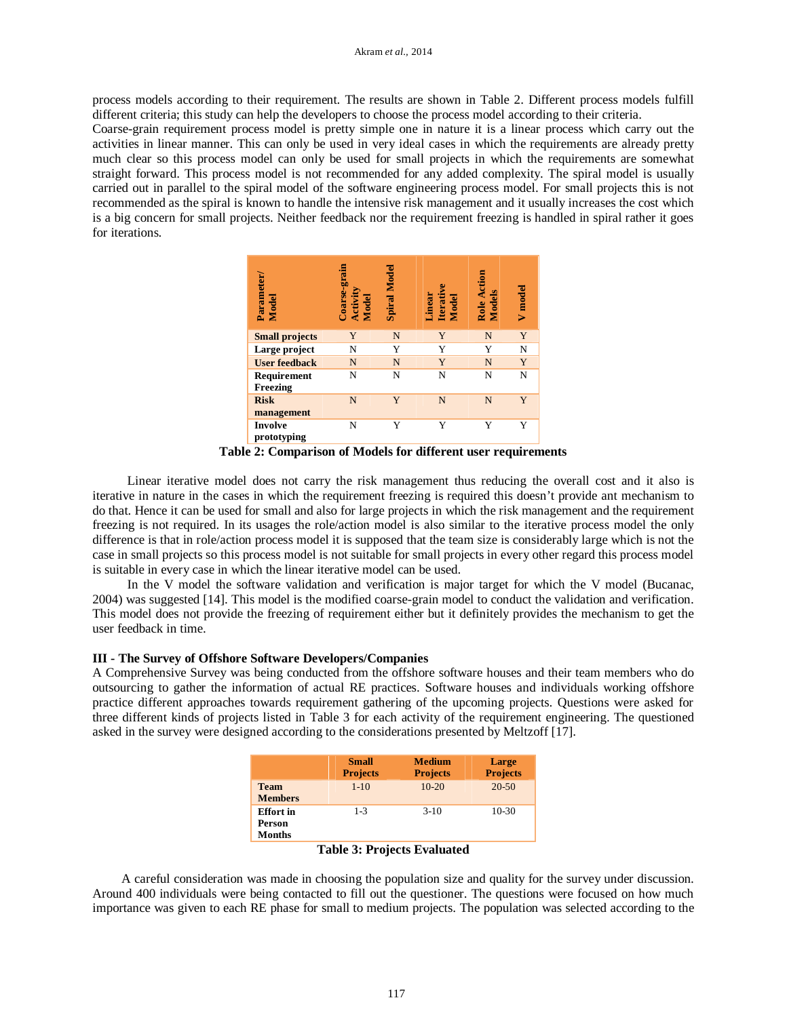process models according to their requirement. The results are shown in Table 2. Different process models fulfill different criteria; this study can help the developers to choose the process model according to their criteria.

Coarse-grain requirement process model is pretty simple one in nature it is a linear process which carry out the activities in linear manner. This can only be used in very ideal cases in which the requirements are already pretty much clear so this process model can only be used for small projects in which the requirements are somewhat straight forward. This process model is not recommended for any added complexity. The spiral model is usually carried out in parallel to the spiral model of the software engineering process model. For small projects this is not recommended as the spiral is known to handle the intensive risk management and it usually increases the cost which is a big concern for small projects. Neither feedback nor the requirement freezing is handled in spiral rather it goes for iterations.

| <b>Parameter</b><br>Model     | Coarse-grain<br>Activity<br>Model | Spiral Model | Linear<br>Iterative<br>Model | Role Action<br><b>Models</b> | V model |
|-------------------------------|-----------------------------------|--------------|------------------------------|------------------------------|---------|
| <b>Small projects</b>         | Y                                 | N            | Y                            | N                            | Y       |
| Large project                 | N                                 | Y            | Y                            | Y                            | N       |
| <b>User feedback</b>          | N                                 | N            | Y                            | N                            | Y       |
| Requirement<br>Freezing       | N                                 | N            | N                            | N                            | N       |
| <b>Risk</b><br>management     | N                                 | Y            | N                            | N                            | Y       |
| <b>Involve</b><br>prototyping | N                                 | Y            | Y                            | Y                            | Y       |

**Table 2: Comparison of Models for different user requirements**

Linear iterative model does not carry the risk management thus reducing the overall cost and it also is iterative in nature in the cases in which the requirement freezing is required this doesn't provide ant mechanism to do that. Hence it can be used for small and also for large projects in which the risk management and the requirement freezing is not required. In its usages the role/action model is also similar to the iterative process model the only difference is that in role/action process model it is supposed that the team size is considerably large which is not the case in small projects so this process model is not suitable for small projects in every other regard this process model is suitable in every case in which the linear iterative model can be used.

In the V model the software validation and verification is major target for which the V model (Bucanac, 2004) was suggested [14]. This model is the modified coarse-grain model to conduct the validation and verification. This model does not provide the freezing of requirement either but it definitely provides the mechanism to get the user feedback in time.

# **III - The Survey of Offshore Software Developers/Companies**

A Comprehensive Survey was being conducted from the offshore software houses and their team members who do outsourcing to gather the information of actual RE practices. Software houses and individuals working offshore practice different approaches towards requirement gathering of the upcoming projects. Questions were asked for three different kinds of projects listed in Table 3 for each activity of the requirement engineering. The questioned asked in the survey were designed according to the considerations presented by Meltzoff [17].

|                                             | <b>Small</b><br><b>Projects</b> | <b>Medium</b><br><b>Projects</b> | Large<br><b>Projects</b> |
|---------------------------------------------|---------------------------------|----------------------------------|--------------------------|
| <b>Team</b><br><b>Members</b>               | $1 - 10$                        | $10-20$                          | $20 - 50$                |
| <b>Effort</b> in<br>Person<br><b>Months</b> | $1 - 3$                         | $3-10$                           | $10-30$                  |

**Table 3: Projects Evaluated**

A careful consideration was made in choosing the population size and quality for the survey under discussion. Around 400 individuals were being contacted to fill out the questioner. The questions were focused on how much importance was given to each RE phase for small to medium projects. The population was selected according to the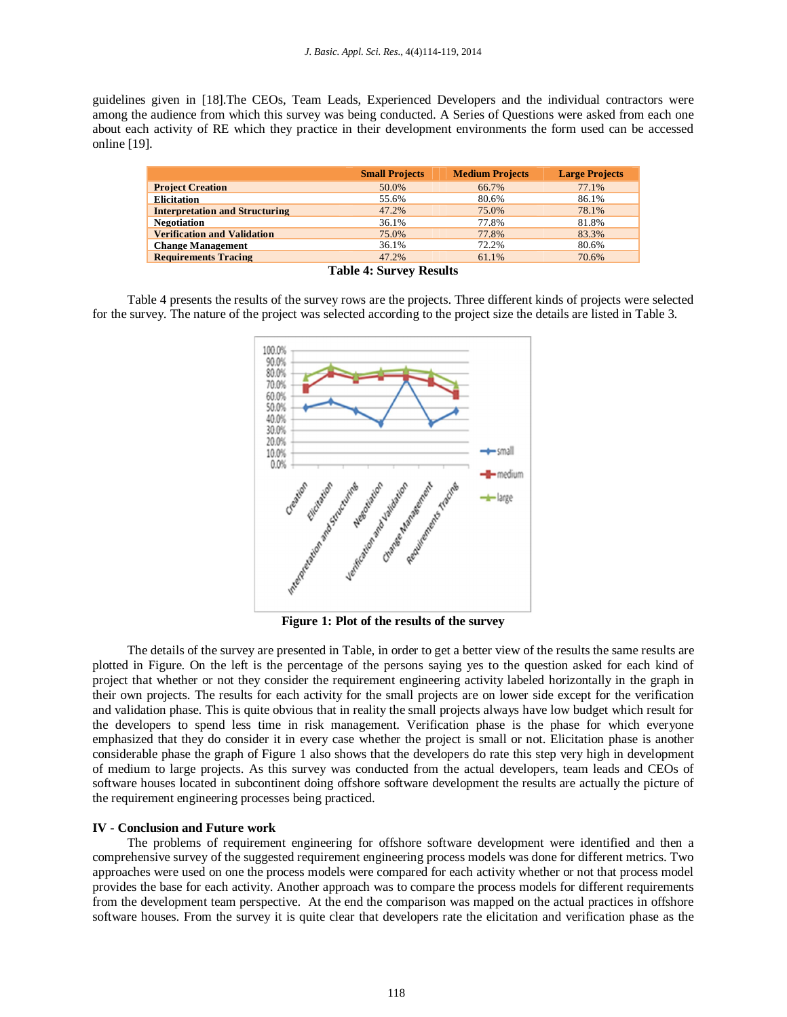guidelines given in [18].The CEOs, Team Leads, Experienced Developers and the individual contractors were among the audience from which this survey was being conducted. A Series of Questions were asked from each one about each activity of RE which they practice in their development environments the form used can be accessed online [19].

|                                       | <b>Small Projects</b> | <b>Medium Projects</b> | <b>Large Projects</b> |
|---------------------------------------|-----------------------|------------------------|-----------------------|
| <b>Project Creation</b>               | 50.0%                 | 66.7%                  | 77.1%                 |
| <b>Elicitation</b>                    | 55.6%                 | 80.6%                  | 86.1%                 |
| <b>Interpretation and Structuring</b> | 47.2%                 | 75.0%                  | 78.1%                 |
| <b>Negotiation</b>                    | 36.1%                 | 77.8%                  | 81.8%                 |
| <b>Verification and Validation</b>    | 75.0%                 | 77.8%                  | 83.3%                 |
| <b>Change Management</b>              | 36.1%                 | 72.2%                  | 80.6%                 |
| <b>Requirements Tracing</b>           | 47.2%                 | 61.1%                  | 70.6%                 |

**Table 4: Survey Results**

Table 4 presents the results of the survey rows are the projects. Three different kinds of projects were selected for the survey. The nature of the project was selected according to the project size the details are listed in Table 3.



**Figure 1: Plot of the results of the survey**

The details of the survey are presented in Table, in order to get a better view of the results the same results are plotted in Figure. On the left is the percentage of the persons saying yes to the question asked for each kind of project that whether or not they consider the requirement engineering activity labeled horizontally in the graph in their own projects. The results for each activity for the small projects are on lower side except for the verification and validation phase. This is quite obvious that in reality the small projects always have low budget which result for the developers to spend less time in risk management. Verification phase is the phase for which everyone emphasized that they do consider it in every case whether the project is small or not. Elicitation phase is another considerable phase the graph of Figure 1 also shows that the developers do rate this step very high in development of medium to large projects. As this survey was conducted from the actual developers, team leads and CEOs of software houses located in subcontinent doing offshore software development the results are actually the picture of the requirement engineering processes being practiced.

## **IV - Conclusion and Future work**

The problems of requirement engineering for offshore software development were identified and then a comprehensive survey of the suggested requirement engineering process models was done for different metrics. Two approaches were used on one the process models were compared for each activity whether or not that process model provides the base for each activity. Another approach was to compare the process models for different requirements from the development team perspective. At the end the comparison was mapped on the actual practices in offshore software houses. From the survey it is quite clear that developers rate the elicitation and verification phase as the